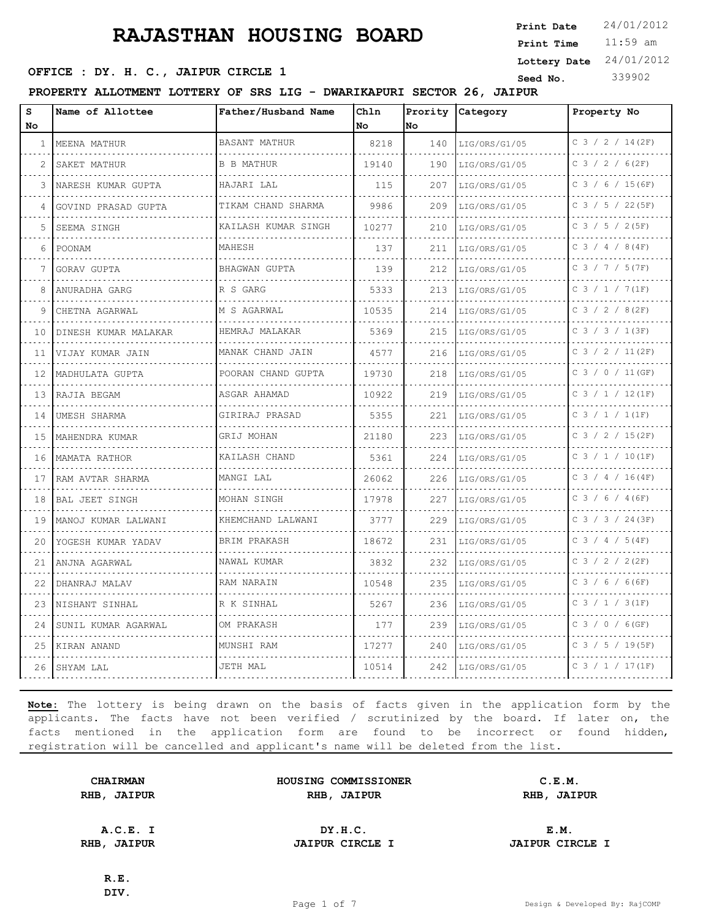11:59 am **Print Time Print Date**  $24/01/2012$ **OFFICE : DY. H. C., JAIPUR CIRCLE 1** Seed No. 339902 **Lottery Date** 24/01/2012

**PROPERTY ALLOTMENT LOTTERY OF SRS LIG - DWARIKAPURI SECTOR 26, JAIPUR**

| S<br><b>No</b> | Name of Allottee      | Father/Husband Name       | Chln<br>No | Prority<br>No | Category           | Property No          |
|----------------|-----------------------|---------------------------|------------|---------------|--------------------|----------------------|
| 1              | MEENA MATHUR          | <b>BASANT MATHUR</b>      | 8218       | 140           | LIG/ORS/G1/05      | $C$ 3 / 2 / 14 (2F)  |
| 2              | .<br>SAKET MATHUR     | <b>B B MATHUR</b>         | 19140      | 190           | .<br>LIG/ORS/G1/05 | .<br>C 3 / 2 / 6(2F) |
| 3              | NARESH KUMAR GUPTA    | HAJARI LAL                | 115        | 207           | LIG/ORS/G1/05      | $C$ 3 / 6 / 15 (6F)  |
| 4              | GOVIND PRASAD GUPTA   | TIKAM CHAND SHARMA        | 9986       | 209           | LIG/ORS/G1/05      | C 3 / 5 / 22 (5F)    |
| 5              | SEEMA SINGH           | .<br>KAILASH KUMAR SINGH  | 10277      | 210           | .<br>LIG/ORS/G1/05 | C 3 / 5 / 2 (5F)     |
| 6              | POONAM                | MAHESH                    | 137        | 211           | LIG/ORS/G1/05      | $C$ 3 / 4 / 8 (4F)   |
| 7              | GORAV GUPTA           | <b>BHAGWAN GUPTA</b><br>. | 139        | 212           | LIG/ORS/G1/05      | C 3 / 7 / 5 (7F)     |
| 8              | ANURADHA GARG         | R S GARG                  | 5333       | 213           | LIG/ORS/G1/05      | C 3 / 1 / 7 (1F)     |
| 9              | CHETNA AGARWAL        | M S AGARWAL               | 10535      | 214           | LIG/ORS/G1/05      | $C$ 3 / 2 / 8(2F)    |
| 10             | DINESH KUMAR MALAKAR  | HEMRAJ MALAKAR            | 5369       | 215           | LIG/ORS/G1/05      | C 3 / 3 / 1 (3F)     |
| 11             | VIJAY KUMAR JAIN      | MANAK CHAND JAIN          | 4577       | 216           | LIG/ORS/G1/05      | C 3 / 2 / 11 (2F)    |
| 12             | MADHULATA GUPTA       | POORAN CHAND GUPTA<br>.   | 19730      | 218           | LIG/ORS/G1/05      | $C$ 3 / 0 / 11 (GF)  |
| 13             | RAJIA BEGAM           | ASGAR AHAMAD<br>.         | 10922      | 219           | LIG/ORS/G1/05      | $C$ 3 / 1 / 12(1F)   |
| 14             | UMESH SHARMA          | GIRIRAJ PRASAD            | 5355       | 221           | LIG/ORS/G1/05      | $C$ 3 / 1 / 1(1F)    |
| 1.5            | MAHENDRA KUMAR        | GRIJ MOHAN                | 21180      | 223           | LIG/ORS/G1/05      | C 3 / 2 / 15(2F)     |
| 16             | MAMATA RATHOR         | KAILASH CHAND             | 5361       | 224           | LIG/ORS/G1/05      | $C$ 3 / 1 / 10(1F)   |
| 17             | RAM AVTAR SHARMA      | MANGI LAL                 | 26062      | 226           | LIG/ORS/G1/05      | $C$ 3 / 4 / 16(4F)   |
| 18             | <b>BAL JEET SINGH</b> | MOHAN SINGH               | 17978      | 227           | LIG/ORS/G1/05      | $C$ 3 / 6 / 4 (6F)   |
| 19             | MANOJ KUMAR LALWANI   | KHEMCHAND LALWANI         | 3777       | 229           | LIG/ORS/G1/05      | C 3 / 3 / 24 (3F)    |
| 20             | YOGESH KUMAR YADAV    | BRIM PRAKASH              | 18672      | 231           | LIG/ORS/G1/05      | $C$ 3 / 4 / 5 (4F)   |
| 21             | ANJNA AGARWAL         | NAWAL KUMAR               | 3832       | 232           | LIG/ORS/G1/05      | C 3 / 2 / 2 (2F)     |
| 22             | DHANRAJ MALAV         | RAM NARAIN                | 10548      | 235           | LIG/ORS/G1/05      | $C$ 3 / 6 / 6 (6F)   |
| 23             | NISHANT SINHAL        | R K SINHAL                | 5267       | 236           | LIG/ORS/G1/05      | $C$ 3 / 1 / 3(1F)    |
| 24             | SUNIL KUMAR AGARWAL   | OM PRAKASH                | 177        | 239           | LIG/ORS/G1/05      | $C$ 3 / 0 / 6 (GF)   |
| 25             | KIRAN ANAND           | MUNSHI RAM                | 17277      | 240           | LIG/ORS/G1/05      | $C$ 3 / 5 / 19(5F)   |
| 26             | SHYAM LAL             | JETH MAL                  | 10514      | 242           | LIG/ORS/G1/05      | $C$ 3 / 1 / 17(1F)   |

**Note:** The lottery is being drawn on the basis of facts given in the application form by the applicants. The facts have not been verified / scrutinized by the board. If later on, the facts mentioned in the application form are found to be incorrect or found hidden, registration will be cancelled and applicant's name will be deleted from the list.

| <b>CHAIRMAN</b> | HOUSING COMMISSIONER | C.E.M.      |  |
|-----------------|----------------------|-------------|--|
| RHB, JAIPUR     | RHB, JAIPUR          | RHB, JAIPUR |  |
|                 |                      |             |  |
|                 |                      |             |  |

**A.C.E. I DY.H.C. E.M. RHB, JAIPUR JAIPUR CIRCLE I JAIPUR CIRCLE I**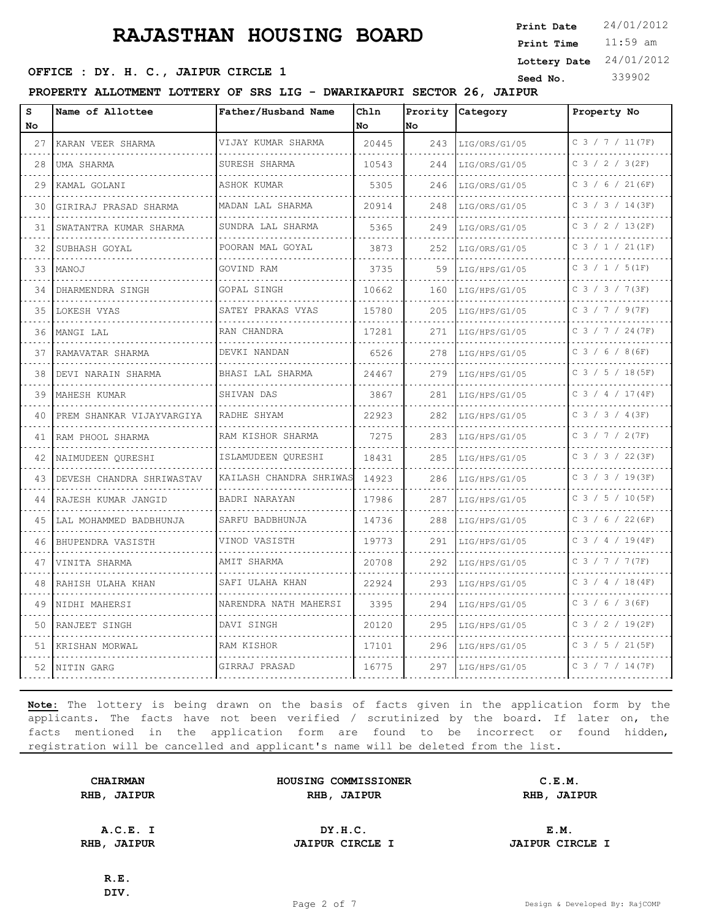11:59 am **Print Time Print Date**  $24/01/2012$ **OFFICE : DY. H. C., JAIPUR CIRCLE 1** Seed No. 339902 **Lottery Date** 24/01/2012

**PROPERTY ALLOTMENT LOTTERY OF SRS LIG - DWARIKAPURI SECTOR 26, JAIPUR**

| S<br>No. | Name of Allottee            | Father/Husband Name          | Chln<br>No | Prority<br>No | Category           | Property No          |
|----------|-----------------------------|------------------------------|------------|---------------|--------------------|----------------------|
| 27       | KARAN VEER SHARMA           | VIJAY KUMAR SHARMA           | 20445      | 243           | LIG/ORS/G1/05      | $C$ 3 / 7 / 11 (7F)  |
| .<br>28  | UMA SHARMA                  | SURESH SHARMA<br>.           | 10543      | 244           | .<br>LIG/ORS/G1/05 | .<br>C 3 / 2 / 3(2F) |
| 29       | KAMAL GOLANI                | ASHOK KUMAR                  | 5305       | 246           | LIG/ORS/G1/05      | $C$ 3 / 6 / 21 (6F)  |
| 30       | GIRIRAJ PRASAD SHARMA       | MADAN LAL SHARMA             | 20914      | 248           | LIG/ORS/G1/05      | C 3 / 3 / 14 (3F)    |
| 31       | SWATANTRA KUMAR SHARMA      | .<br>SUNDRA LAL SHARMA       | 5365       | 249           | .<br>LIG/ORS/G1/05 | C 3 / 2 / 13(2F)     |
| 32       | SUBHASH GOYAL               | .<br>POORAN MAL GOYAL        | 3873       | 252           | LIG/ORS/G1/05      | $C$ 3 / 1 / 21(1F)   |
| 33       | MANOJ                       | GOVIND RAM                   | 3735       | 59            | LIG/HPS/G1/05      | C 3 / 1 / 5 (1F)     |
| 34       | DHARMENDRA SINGH            | <u>.</u><br>GOPAL SINGH      | 10662      | 160           | LIG/HPS/G1/05      | C 3 / 3 / 7 (3F)     |
| 35       | LOKESH VYAS                 | SATEY PRAKAS VYAS            | 15780      | 205           | LIG/HPS/G1/05      | $C$ 3 / 7 / 9(7F)    |
| 36       | MANGI LAL                   | RAN CHANDRA<br>.             | 17281      | 271           | LIG/HPS/G1/05      | C 3 / 7 / 24 (7F)    |
| 37       | RAMAVATAR SHARMA            | DEVKI NANDAN                 | 6526       | 278           | LIG/HPS/G1/05      | $C$ 3 / 6 / 8 (6F)   |
| 38       | DEVI NARAIN SHARMA          | BHASI LAL SHARMA             | 24467      | 279           | LIG/HPS/G1/05      | $C$ 3 / 5 / 18 (5F)  |
| 39       | MAHESH KUMAR                | SHIVAN DAS                   | 3867       | 281           | LIG/HPS/G1/05      | C 3 / 4 / 17(4F)     |
| 40       | PREM SHANKAR VIJAYVARGIYA   | RADHE SHYAM                  | 22923      | 282           | LIG/HPS/G1/05      | $C$ 3 / 3 / 4 (3F)   |
| 41       | RAM PHOOL SHARMA            | RAM KISHOR SHARMA<br>.       | 7275       | 283           | LIG/HPS/G1/05      | C 3 / 7 / 2 (7F)     |
| 42       | NAIMUDEEN QURESHI           | ISLAMUDEEN QURESHI           | 18431      | 285           | LIG/HPS/G1/05      | $C$ 3 / 3 / 22(3F)   |
| 43       | DEVESH CHANDRA SHRIWASTAV   | KAILASH CHANDRA SHRIWAS<br>. | 14923      | 286           | LIG/HPS/G1/05      | $C$ 3 / 3 / 19(3F)   |
| 44       | RAJESH KUMAR JANGID         | BADRI NARAYAN                | 17986      | 287           | LIG/HPS/G1/05      | C $3 / 5 / 10 (5F)$  |
| 45       | .<br>LAL MOHAMMED BADBHUNJA | SARFU BADBHUNJA              | 14736      | 288           | LIG/HPS/G1/05      | $C$ 3 / 6 / 22 (6F)  |
| 46       | BHUPENDRA VASISTH           | VINOD VASISTH                | 19773      | 291           | LIG/HPS/G1/05      | $C$ 3 / 4 / 19(4F)   |
| 47       | VINITA SHARMA               | AMIT SHARMA                  | 20708      | 292           | LIG/HPS/G1/05      | C 3 / 7 / 7 (7F)     |
| 48       | RAHISH ULAHA KHAN           | SAFI ULAHA KHAN              | 22924      | 293           | LIG/HPS/G1/05      | C $3 / 4 / 18(4F)$   |
| 49       | NIDHI MAHERSI               | NARENDRA NATH MAHERSI        | 3395       | 294           | LIG/HPS/G1/05      | $C$ 3 / 6 / 3 (6F)   |
| 50       | RANJEET SINGH               | DAVI SINGH                   | 20120      | 295           | LIG/HPS/G1/05      | C 3 / 2 / 19(2F)     |
| 51       | KRISHAN MORWAL              | RAM KISHOR                   | 17101      | 296           | LIG/HPS/G1/05      | C 3 / 5 / 21 (5F)    |
| 52       | NITIN GARG                  | GIRRAJ PRASAD                | 16775      | 297           | LIG/HPS/G1/05      | C 3 / 7 / 14 (7F)    |

**Note:** The lottery is being drawn on the basis of facts given in the application form by the applicants. The facts have not been verified / scrutinized by the board. If later on, the facts mentioned in the application form are found to be incorrect or found hidden, registration will be cancelled and applicant's name will be deleted from the list.

| <b>CHAIRMAN</b> | HOUSING COMMISSIONER | C.E.M.      |  |
|-----------------|----------------------|-------------|--|
| RHB, JAIPUR     | RHB, JAIPUR          | RHB, JAIPUR |  |
|                 |                      |             |  |
| A.C.E. I        | DY.H.C.              | E.M.        |  |

**RHB, JAIPUR JAIPUR CIRCLE I JAIPUR CIRCLE I**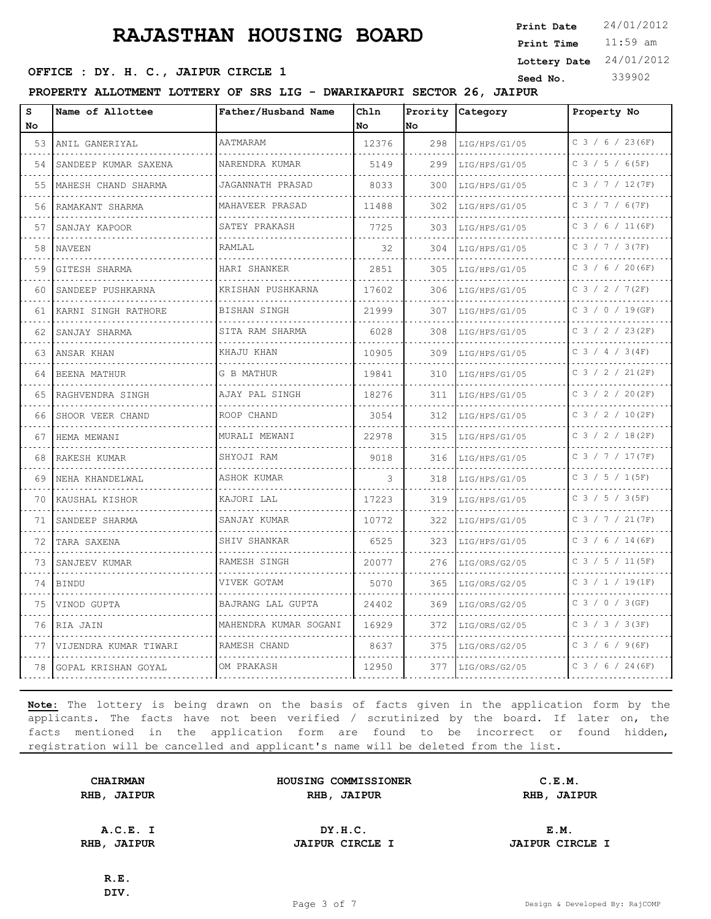11:59 am **Print Time Print Date**  $24/01/2012$ **OFFICE : DY. H. C., JAIPUR CIRCLE 1** Seed No. 339902 **Lottery Date** 24/01/2012

**PROPERTY ALLOTMENT LOTTERY OF SRS LIG - DWARIKAPURI SECTOR 26, JAIPUR**

| s<br><b>No</b> | Name of Allottee       | Father/Husband Name   | Chln<br><b>No</b> | Prority<br>lno. | Category           | Property No             |
|----------------|------------------------|-----------------------|-------------------|-----------------|--------------------|-------------------------|
| 53             | ANIL GANERIYAL         | AATMARAM              | 12376             | 298             | LIG/HPS/G1/05      | $C$ 3 / 6 / 23 (6F)     |
| 54             | SANDEEP KUMAR SAXENA   | NARENDRA KUMAR        | 5149              | 299             | .<br>LIG/HPS/G1/05 | .<br>$C$ 3 / 5 / 6 (5F) |
| 55             | MAHESH CHAND SHARMA    | JAGANNATH PRASAD      | 8033              | 300             | LIG/HPS/G1/05      | $C$ 3 / 7 / 12(7F)      |
| 56             | RAMAKANT SHARMA        | MAHAVEER PRASAD       | 11488             | 302             | LIG/HPS/G1/05      | $C$ 3 / 7 / 6(7F)       |
| 57             | SANJAY KAPOOR          | SATEY PRAKASH         | 7725              | 303             | .<br>LIG/HPS/G1/05 | $C$ 3 / 6 / 11 (6F)     |
| 58             | <b>NAVEEN</b>          | RAMLAL                | 32                | 304             | LIG/HPS/G1/05      | $C$ 3 / 7 / 3 (7F)      |
| 59             | GITESH SHARMA          | HARI SHANKER          | 2851              | 305             | LIG/HPS/G1/05      | $C$ 3 / 6 / 20 (6F)     |
| 60             | SANDEEP PUSHKARNA      | KRISHAN PUSHKARNA     | 17602             | 306             | LIG/HPS/G1/05      | C 3 / 2 / 7 (2F)        |
| 61             | KARNI SINGH RATHORE    | BISHAN SINGH          | 21999             | 307             | LIG/HPS/G1/05      | $C$ 3 / 0 / 19(GF)      |
| 62.            | SANJAY SHARMA          | SITA RAM SHARMA       | 6028              | 308             | LIG/HPS/G1/05      | $C$ 3 / 2 / 23(2F)      |
| 63             | ANSAR KHAN             | KHAJU KHAN            | 10905             | 309             | LIG/HPS/G1/05      | C 3 / 4 / 3 (4F)        |
| 64             | BEENA MATHUR           | G B MATHUR            | 19841             | 310             | LIG/HPS/G1/05      | C 3 / 2 / 21 (2F)       |
| 65             | RAGHVENDRA SINGH       | AJAY PAL SINGH        | 18276             | 311             | LIG/HPS/G1/05      | $C$ 3 / 2 / 20(2F)      |
| 66             | SHOOR VEER CHAND       | ROOP CHAND            | 3054              | 312             | LIG/HPS/G1/05      | $C$ 3 / 2 / 10(2F)      |
| 67             | HEMA MEWANI            | MURALI MEWANI         | 22978             | 315             | LIG/HPS/G1/05      | $C$ 3 / 2 / 18(2F)      |
| 68             | RAKESH KUMAR           | SHYOJI RAM            | 9018              | 316             | LIG/HPS/G1/05      | C 3 / 7 / 17 (7F)       |
| 69             | NEHA KHANDELWAL        | <b>ASHOK KUMAR</b>    | 3                 | 318             | LIG/HPS/G1/05      | $C$ 3 / 5 / 1 (5F)      |
| 70             | KAUSHAL KISHOR         | KAJORI LAL            | 17223             | 319             | LIG/HPS/G1/05      | C 3 / 5 / 3 (5F)        |
| 71             | SANDEEP SHARMA         | SANJAY KUMAR          | 10772             | 322             | LIG/HPS/G1/05      | C 3 / 7 / 21 (7F)       |
| 72 l           | TARA SAXENA            | SHIV SHANKAR          | 6525              | 323             | LIG/HPS/G1/05      | $C$ 3 / 6 / 14 (6F)     |
| 73             | SANJEEV KUMAR          | RAMESH SINGH<br>.     | 20077             | 276             | LIG/ORS/G2/05      | C 3 / 5 / 11 (5F)       |
| 74             | <b>BINDU</b>           | VIVEK GOTAM           | 5070              | 365             | LIG/ORS/G2/05      | $C$ 3 / 1 / 19(1F)      |
| 75             | VINOD GUPTA            | BAJRANG LAL GUPTA     | 24402             | 369             | LIG/ORS/G2/05      | $C$ 3 / 0 / 3 (GF)      |
| 76             | RIA JAIN               | MAHENDRA KUMAR SOGANI | 16929             | 372             | LIG/ORS/G2/05      | $C$ 3 / 3 / 3 (3F)      |
| 77             | VIJENDRA KUMAR TIWARI  | RAMESH CHAND          | 8637              | 375             | LIG/ORS/G2/05      | $C$ 3 / 6 / 9 (6F)      |
|                | 78 GOPAL KRISHAN GOYAL | OM PRAKASH            | 12950             | 377             | LIG/ORS/G2/05      | $C$ 3 / 6 / 24 (6F)     |

**Note:** The lottery is being drawn on the basis of facts given in the application form by the applicants. The facts have not been verified / scrutinized by the board. If later on, the facts mentioned in the application form are found to be incorrect or found hidden, registration will be cancelled and applicant's name will be deleted from the list.

| <b>CHAIRMAN</b> | HOUSING COMMISSIONER | C.E.M.      |  |
|-----------------|----------------------|-------------|--|
| RHB, JAIPUR     | <b>RHB, JAIPUR</b>   | RHB, JAIPUR |  |
| A.C.E. I        | DY.H.C.              | E.M.        |  |

**RHB, JAIPUR JAIPUR CIRCLE I JAIPUR CIRCLE I**

**R.E. DIV.**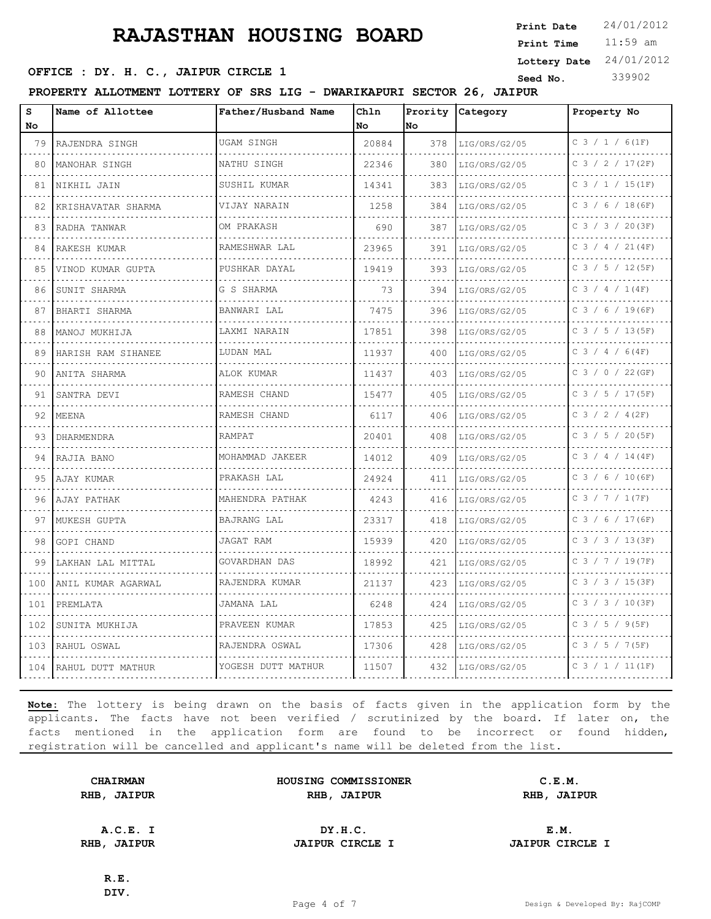11:59 am **Print Time Print Date**  $24/01/2012$ **OFFICE : DY. H. C., JAIPUR CIRCLE 1** Seed No. 339902 **Lottery Date** 24/01/2012

**PROPERTY ALLOTMENT LOTTERY OF SRS LIG - DWARIKAPURI SECTOR 26, JAIPUR**

| s<br>No | Name of Allottee   | Father/Husband Name      | Chln<br>No | Prority<br>No. | Category           | Property No         |
|---------|--------------------|--------------------------|------------|----------------|--------------------|---------------------|
| 79      | RAJENDRA SINGH     | UGAM SINGH               | 20884      | 378            | LIG/ORS/G2/05      | $C$ 3 / 1 / 6(1F)   |
| 80      | MANOHAR SINGH      | NATHU SINGH              | 22346      | 380            | .<br>LIG/ORS/G2/05 | C 3 / 2 / 17(2F)    |
| 81      | NIKHIL JAIN        | SUSHIL KUMAR             | 14341      | 383            | LIG/ORS/G2/05      | $C$ 3 / 1 / 15(1F)  |
| 82      | KRISHAVATAR SHARMA | VIJAY NARAIN             | 1258       | 384            | LIG/ORS/G2/05      | $C$ 3 / 6 / 18 (6F) |
| 83      | RADHA TANWAR       | OM PRAKASH               | 690        | 387            | .<br>LIG/ORS/G2/05 | C 3 / 3 / 20(3F)    |
| 84      | RAKESH KUMAR       | RAMESHWAR LAL            | 23965      | 391            | LIG/ORS/G2/05      | $C$ 3 / 4 / 21(4F)  |
| 85      | VINOD KUMAR GUPTA  | PUSHKAR DAYAL            | 19419      | 393            | LIG/ORS/G2/05      | $C$ 3 / 5 / 12 (5F) |
| 86      | SUNIT SHARMA       | G S SHARMA               | 73         | 394            | LIG/ORS/G2/05      | C 3 / 4 / 1 (4F)    |
| 87      | BHARTI SHARMA      | BANWARI LAL              | 7475       | 396            | LIG/ORS/G2/05      | $C$ 3 / 6 / 19(6F)  |
| 88      | MANOJ MUKHIJA      | LAXMI NARAIN<br>.        | 17851      | 398            | LIG/ORS/G2/05      | $C$ 3 / 5 / 13(5F)  |
| 89      | HARISH RAM SIHANEE | LUDAN MAL                | 11937      | 400            | LIG/ORS/G2/05      | C 3 / 4 / 6 (4F)    |
| 90      | ANITA SHARMA       | ALOK KUMAR               | 11437      | 403            | LIG/ORS/G2/05      | $C$ 3 / 0 / 22 (GF) |
| 91      | SANTRA DEVI        | RAMESH CHAND<br><u>.</u> | 15477      | 405            | LIG/ORS/G2/05      | C 3 / 5 / 17 (5F)   |
| 92      | MEENA              | RAMESH CHAND             | 6117       | 406            | LIG/ORS/G2/05      | C 3 / 2 / 4 (2F)    |
| 93      | DHARMENDRA         | RAMPAT                   | 20401      | 408            | LIG/ORS/G2/05      | $C$ 3 / 5 / 20(5F)  |
| 94      | RAJIA BANO         | MOHAMMAD JAKEER          | 14012      | 409            | LIG/ORS/G2/05      | $C$ 3 / 4 / 14 (4F) |
| 95      | AJAY KUMAR         | PRAKASH LAL              | 24924      | 411            | LIG/ORS/G2/05      | $C$ 3 / 6 / 10 (6F) |
| 96      | AJAY PATHAK        | MAHENDRA PATHAK          | 4243       | 416            | LIG/ORS/G2/05      | C 3 / 7 / 1 (7F)    |
| 97      | MUKESH GUPTA       | <b>BAJRANG LAL</b>       | 23317      | 418            | LIG/ORS/G2/05      | C 3 / 6 / 17 (6F)   |
| 98      | GOPI CHAND         | JAGAT RAM                | 15939      | 420            | LIG/ORS/G2/05      | $C$ 3 / 3 / 13(3F)  |
| 99      | LAKHAN LAL MITTAL  | GOVARDHAN DAS            | 18992      | 421            | LIG/ORS/G2/05      | C 3 / 7 / 19(7F)    |
| 100     | ANIL KUMAR AGARWAL | RAJENDRA KUMAR           | 21137      | 423            | LIG/ORS/G2/05      | C 3 / 3 / 15 (3F)   |
| 101     | PREMLATA           | JAMANA LAL               | 6248       | 424            | LIG/ORS/G2/05      | $C$ 3 / 3 / 10(3F)  |
| 102     | SUNITA MUKHIJA     | PRAVEEN KUMAR            | 17853      | 425            | LIG/ORS/G2/05      | $C$ 3 / 5 / 9(5F)   |
| 103     | RAHUL OSWAL        | RAJENDRA OSWAL           | 17306      | 428            | LIG/ORS/G2/05      | C 3 / 5 / 7 (5F)    |
| 104     | RAHUL DUTT MATHUR  | YOGESH DUTT MATHUR       | 11507      | 432            | LIG/ORS/G2/05      | $C$ 3 / 1 / 11 (1F) |

**Note:** The lottery is being drawn on the basis of facts given in the application form by the applicants. The facts have not been verified / scrutinized by the board. If later on, the facts mentioned in the application form are found to be incorrect or found hidden, registration will be cancelled and applicant's name will be deleted from the list.

| <b>CHAIRMAN</b> | HOUSING COMMISSIONER | C.E.M.      |  |
|-----------------|----------------------|-------------|--|
| RHB, JAIPUR     | RHB, JAIPUR          | RHB, JAIPUR |  |
|                 |                      |             |  |
|                 |                      |             |  |

**A.C.E. I DY.H.C. E.M. RHB, JAIPUR JAIPUR CIRCLE I JAIPUR CIRCLE I**

**R.E. DIV.**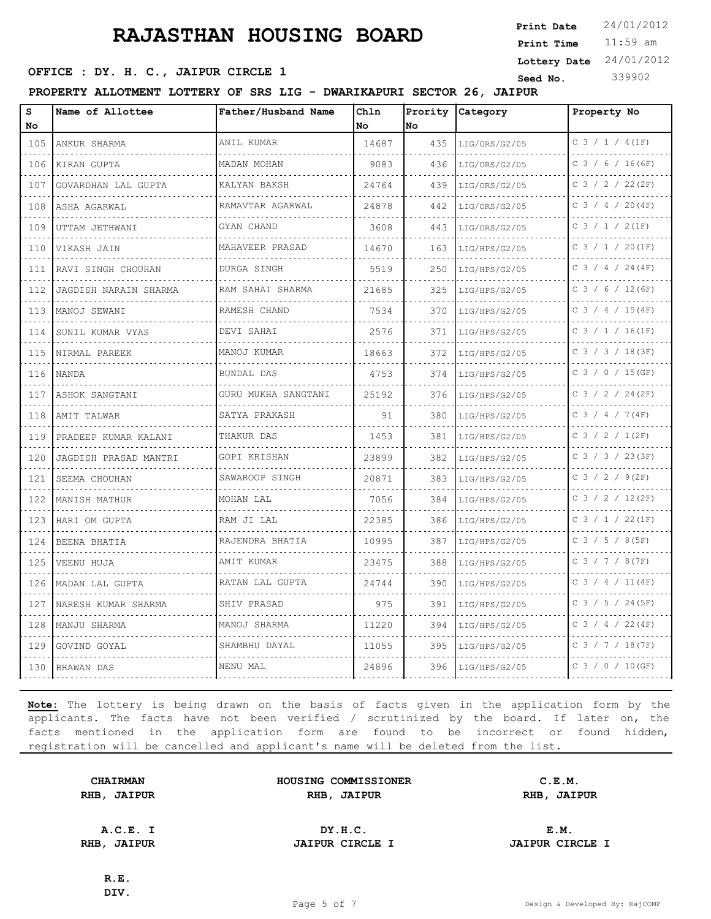11:59 am **Print Time Print Date**  $24/01/2012$ **Lottery Date** 24/01/2012

#### **OFFICE : DY. H. C., JAIPUR CIRCLE 1** Seed No. 339902

**PROPERTY ALLOTMENT LOTTERY OF SRS LIG - DWARIKAPURI SECTOR 26, JAIPUR**

| S<br>No               | Name of Allottee      | Father/Husband Name                | Chln<br>No | Prority<br>No | Category      | Property No         |
|-----------------------|-----------------------|------------------------------------|------------|---------------|---------------|---------------------|
| 105                   | ANKUR SHARMA          | ANIL KUMAR                         | 14687      | 435           | LIG/ORS/G2/05 | $C$ 3 / 1 / 4 (1F)  |
| .<br>106              | KIRAN GUPTA           | MADAN MOHAN                        | 9083       | 436           | LIG/ORS/G2/05 | C 3 / 6 / 16 (6F)   |
| .<br>107              | GOVARDHAN LAL GUPTA   | KALYAN BAKSH                       | 24764      | 439           | LIG/ORS/G2/05 | C 3 / 2 / 22 (2F)   |
| 108                   | ASHA AGARWAL          | RAMAVTAR AGARWAL                   | 24878      | 442           | LIG/ORS/G2/05 | $C$ 3 / 4 / 20(4F)  |
| .<br>109              | .<br>UTTAM JETHWANI   | GYAN CHAND                         | 3608       | 443           | LIG/ORS/G2/05 | C 3 / 1 / 2(1F)     |
| 110                   | VIKASH JAIN           | MAHAVEER PRASAD                    | 14670      | 163           | LIG/HPS/G2/05 | C 3 / 1 / 20 (1F)   |
| 111                   | RAVI SINGH CHOUHAN    | DURGA SINGH                        | 5519       | 250           | LIG/HPS/G2/05 | $C$ 3 / 4 / 24 (4F) |
| المناسبات<br>112      | JAGDISH NARAIN SHARMA | RAM SAHAI SHARMA                   | 21685      | 325           | LIG/HPS/G2/05 | C 3 / 6 / 12 (6F)   |
| 113                   | MANOJ SEWANI          | RAMESH CHAND                       | 7534       | 370           | LIG/HPS/G2/05 | $C$ 3 / 4 / 15(4F)  |
| 114                   | SUNIL KUMAR VYAS      | DEVI SAHAI<br><u>.</u>             | 2576       | 371           | LIG/HPS/G2/05 | $C$ 3 / 1 / 16(1F)  |
| المتحامين<br>115      | NIRMAL PAREEK         | MANOJ KUMAR                        | 18663      | 372           | LIG/HPS/G2/05 | C $3 / 3 / 18 (3F)$ |
| 116                   | <b>NANDA</b>          | BUNDAL DAS                         | 4753       | 374           | LIG/HPS/G2/05 | $C$ 3 / 0 / 15 (GF) |
| 117                   | ASHOK SANGTANI        | GURU MUKHA SANGTANI<br>.           | 25192      | 376           | LIG/HPS/G2/05 | C 3 / 2 / 24 (2F)   |
| 118                   | AMIT TALWAR           | SATYA PRAKASH                      | 91         | 380           | LIG/HPS/G2/05 | C 3 / 4 / 7 (4F)    |
| 119                   | PRADEEP KUMAR KALANI  | .<br>THAKUR DAS                    | 1453       | 381           | LIG/HPS/G2/05 | C 3 / 2 / 1 (2F)    |
| 120                   | JAGDISH PRASAD MANTRI | GOPI KRISHAN<br>decembra de la cie | 23899      | 382           | LIG/HPS/G2/05 | $C$ 3 / 3 / 23(3F)  |
| .<br>121              | SEEMA CHOUHAN         | SAWAROOP SINGH                     | 20871      | 383           | LIG/HPS/G2/05 | C 3 / 2 / 9(2F)     |
| 122                   | MANISH MATHUR         | MOHAN LAL                          | 7056       | 384           | LIG/HPS/G2/05 | $C$ 3 / 2 / 12(2F)  |
| 123                   | HARI OM GUPTA         | RAM JI LAL<br>.                    | 22385      | 386           | LIG/HPS/G2/05 | C 3 / 1 / 22 (1F)   |
| .<br>124              | BEENA BHATIA          | RAJENDRA BHATIA                    | 10995      | 387           | LIG/HPS/G2/05 | $C$ 3 / 5 / 8(5F)   |
| 125                   | VEENU HUJA            | AMIT KUMAR                         | 23475      | 388           | LIG/HPS/G2/05 | C 3 / 7 / 8 (7F)    |
| 126                   | MADAN LAL GUPTA       | RATAN LAL GUPTA                    | 24744      | 390           | LIG/HPS/G2/05 | C 3 / 4 / 11 (4F)   |
| . Lista Li<br>127     | NARESH KUMAR SHARMA   | .<br>SHIV PRASAD                   | 975        | 391           | LIG/HPS/G2/05 | C 3 / 5 / 24 (5F)   |
| 128                   | MANJU SHARMA          | MANOJ SHARMA                       | 11220      | 394           | LIG/HPS/G2/05 | C 3 / 4 / 22 (4F)   |
| 129                   | GOVIND GOYAL          | SHAMBHU DAYAL                      | 11055      | 395           | LIG/HPS/G2/05 | C 3 / 7 / 18 (7F)   |
| <b>Service</b><br>130 | BHAWAN DAS            | NENU MAL                           | 24896      | 396           | LIG/HPS/G2/05 | C 3 / 0 / 10 (GF)   |

**Note:** The lottery is being drawn on the basis of facts given in the application form by the applicants. The facts have not been verified / scrutinized by the board. If later on, the facts mentioned in the application form are found to be incorrect or found hidden, registration will be cancelled and applicant's name will be deleted from the list.

| <b>CHAIRMAN</b> | HOUSING COMMISSIONER | C.E.M.      |  |
|-----------------|----------------------|-------------|--|
| RHB, JAIPUR     | RHB, JAIPUR          | RHB, JAIPUR |  |
|                 |                      |             |  |
|                 |                      |             |  |

**A.C.E. I DY.H.C. E.M. RHB, JAIPUR JAIPUR CIRCLE I JAIPUR CIRCLE I**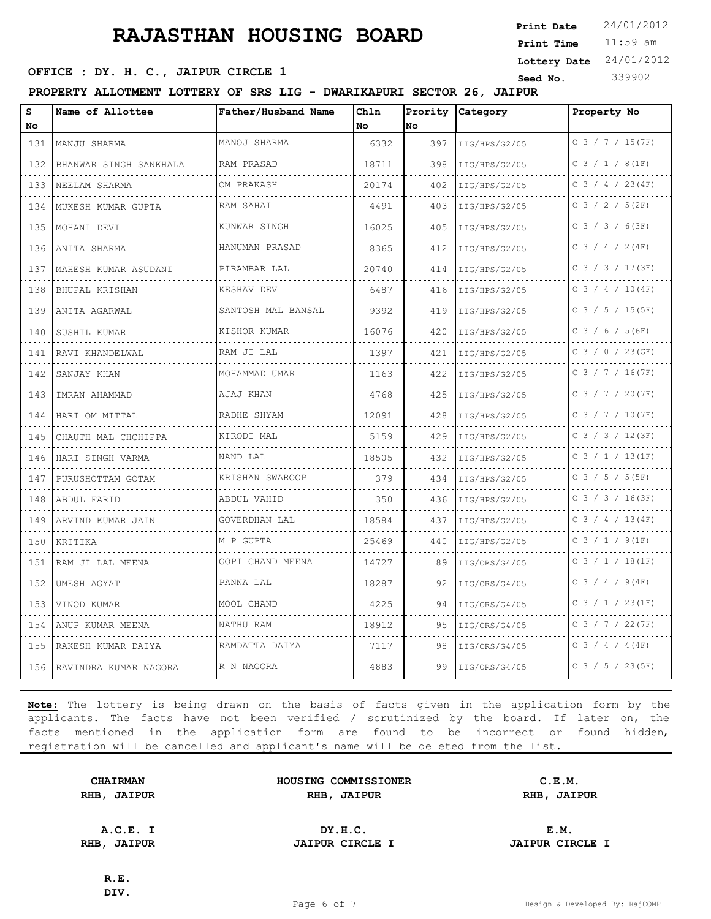11:59 am **Print Time Print Date**  $24/01/2012$ **Lottery Date** 24/01/2012

#### **OFFICE : DY. H. C., JAIPUR CIRCLE 1** Seed No. 339902

**PROPERTY ALLOTMENT LOTTERY OF SRS LIG - DWARIKAPURI SECTOR 26, JAIPUR**

| s<br>No          | Name of Allottee       | Father/Husband Name | Ch1n<br>No | Prority<br>No. | Category      | Property No         |
|------------------|------------------------|---------------------|------------|----------------|---------------|---------------------|
| 131              | MANJU SHARMA           | MANOJ SHARMA        | 6332       | 397            | LIG/HPS/G2/05 | C 3 / 7 / 15 (7F)   |
| 132              | BHANWAR SINGH SANKHALA | RAM PRASAD          | 18711      | 398            | LIG/HPS/G2/05 | C 3 / 1 / 8(1F)     |
| 133              | NEELAM SHARMA          | OM PRAKASH          | 20174      | 402            | LIG/HPS/G2/05 | $C$ 3 / 4 / 23(4F)  |
| 134              | MUKESH KUMAR GUPTA     | RAM SAHAI           | 4491       | 403            | LIG/HPS/G2/05 | $C$ 3 / 2 / 5 (2F)  |
| 135              | MOHANI DEVI            | KUNWAR SINGH        | 16025      | 405            | LIG/HPS/G2/05 | C 3 / 3 / 6(3F)     |
| 136              | ANITA SHARMA           | HANUMAN PRASAD      | 8365       | 412            | LIG/HPS/G2/05 | $C$ 3 / 4 / 2(4F)   |
| 137              | MAHESH KUMAR ASUDANI   | PIRAMBAR LAL        | 20740      | 414            | LIG/HPS/G2/05 | C 3 / 3 / 17 (3F)   |
| $- - - -$<br>138 | BHUPAL KRISHAN         | KESHAV DEV          | 6487       | 416            | LIG/HPS/G2/05 | C 3 / 4 / 10 (4F)   |
| 139              | ANITA AGARWAL          | SANTOSH MAL BANSAL  | 9392       | 419            | LIG/HPS/G2/05 | $C$ 3 / 5 / 15 (5F) |
| 140              | SUSHIL KUMAR           | KISHOR KUMAR        | 16076      | 420            | LIG/HPS/G2/05 | C 3 / 6 / 5 (6F)    |
| 141              | RAVI KHANDELWAL        | RAM JI LAL          | 1397       | 421            | LIG/HPS/G2/05 | $C$ 3 / 0 / 23 (GF) |
| 142              | SANJAY KHAN            | MOHAMMAD UMAR       | 1163       | 422            | LIG/HPS/G2/05 | C 3 / 7 / 16 (7F)   |
| 143              | IMRAN AHAMMAD          | AJAJ KHAN           | 4768       | 425            | LIG/HPS/G2/05 | C 3 / 7 / 20(7F)    |
| 144              | HARI OM MITTAL         | RADHE SHYAM         | 12091      | 428            | LIG/HPS/G2/05 | C 3 / 7 / 10 (7F)   |
| 145              | CHAUTH MAL CHCHIPPA    | KIRODI MAL          | 5159       | 429            | LIG/HPS/G2/05 | C 3 / 3 / 12 (3F)   |
| 146              | HARI SINGH VARMA       | NAND LAL            | 18505      | 432            | LIG/HPS/G2/05 | $C$ 3 / 1 / 13(1F)  |
| 147              | PURUSHOTTAM GOTAM      | KRISHAN SWAROOP     | 379        | 434            | LIG/HPS/G2/05 | $C$ 3 / 5 / 5 (5F)  |
| 148              | ABDUL FARID            | ABDUL VAHID         | 350        | 436            | LIG/HPS/G2/05 | $C$ 3 / 3 / 16(3F)  |
| 149              | ARVIND KUMAR JAIN      | GOVERDHAN LAL       | 18584      | 437            | LIG/HPS/G2/05 | C 3 / 4 / 13 (4F)   |
| 150              | KRITIKA                | M P GUPTA           | 25469      | 440            | LIG/HPS/G2/05 | $C$ 3 / 1 / 9(1F)   |
| 151              | RAM JI LAL MEENA       | GOPI CHAND MEENA    | 14727      | 89             | LIG/ORS/G4/05 | $C$ 3 / 1 / 18(1F)  |
| 152              | UMESH AGYAT            | PANNA LAL           | 18287      | 92             | LIG/ORS/G4/05 | C 3 / 4 / 9 (4F)    |
| 153              | VINOD KUMAR            | MOOL CHAND          | 4225       | 94             | LIG/ORS/G4/05 | $C$ 3 / 1 / 23(1F)  |
| 154              | ANUP KUMAR MEENA       | NATHU RAM           | 18912      | 95.            | LIG/ORS/G4/05 | C 3 / 7 / 22 (7F)   |
| 155              | RAKESH KUMAR DAIYA     | RAMDATTA DAIYA      | 7117       | 98             | LIG/ORS/G4/05 | C 3 / 4 / 4 (4F)    |
| 156              | RAVINDRA KUMAR NAGORA  | R N NAGORA          | 4883       | 99             | LIG/ORS/G4/05 | C 3 / 5 / 23 (5F)   |

**Note:** The lottery is being drawn on the basis of facts given in the application form by the applicants. The facts have not been verified / scrutinized by the board. If later on, the facts mentioned in the application form are found to be incorrect or found hidden, registration will be cancelled and applicant's name will be deleted from the list.

| <b>CHAIRMAN</b> | HOUSING COMMISSIONER | C.E.M.      |  |
|-----------------|----------------------|-------------|--|
| RHB, JAIPUR     | RHB, JAIPUR          | RHB, JAIPUR |  |
|                 |                      |             |  |

**A.C.E. I DY.H.C. E.M. RHB, JAIPUR JAIPUR CIRCLE I JAIPUR CIRCLE I**